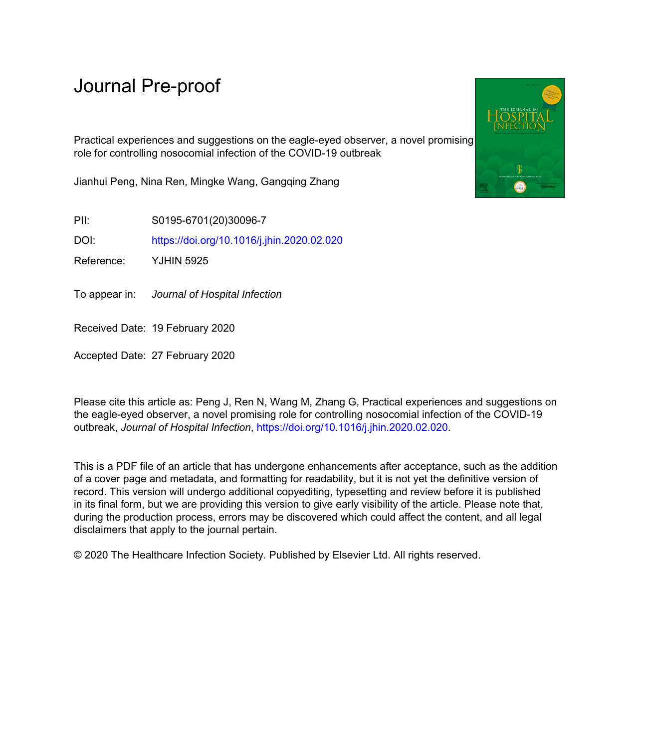# Journal Pre-proof

Practical experiences and suggestions on the eagle-eyed observer, a novel promising role for controlling nosocomial infection of the COVID-19 outbreak

Jianhui Peng, Nina Ren, Mingke Wang, Gangqing Zhang

PII: S0195-6701(20)30096-7

DOI: <https://doi.org/10.1016/j.jhin.2020.02.020>

Reference: YJHIN 5925

To appear in: Journal of Hospital Infection

Received Date: 19 February 2020

Accepted Date: 27 February 2020

Please cite this article as: Peng J, Ren N, Wang M, Zhang G, Practical experiences and suggestions on the eagle-eyed observer, a novel promising role for controlling nosocomial infection of the COVID-19 outbreak, *Journal of Hospital Infection*,<https://doi.org/10.1016/j.jhin.2020.02.020>.

This is a PDF file of an article that has undergone enhancements after acceptance, such as the addition of a cover page and metadata, and formatting for readability, but it is not yet the definitive version of record. This version will undergo additional copyediting, typesetting and review before it is published in its final form, but we are providing this version to give early visibility of the article. Please note that, during the production process, errors may be discovered which could affect the content, and all legal disclaimers that apply to the journal pertain.

© 2020 The Healthcare Infection Society. Published by Elsevier Ltd. All rights reserved.

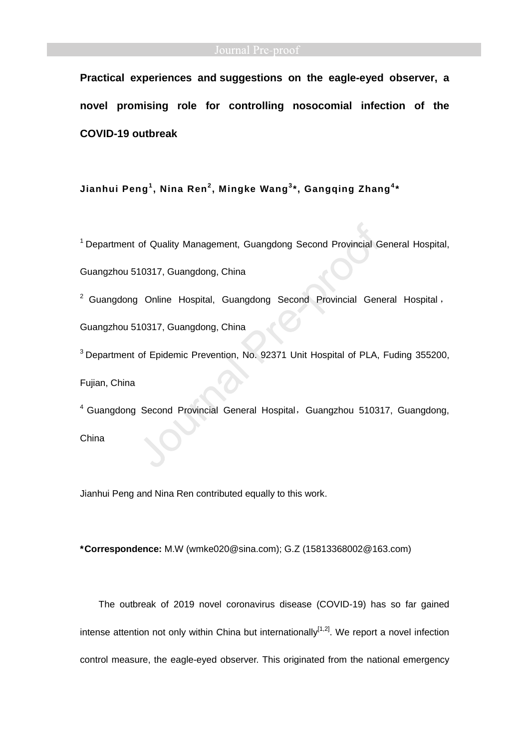**Practical experiences and suggestions on the eagle-eyed observer, a novel promising role for controlling nosocomial infection of the COVID-19 outbreak** 

**Jianhui Peng<sup>1</sup> , Nina Ren<sup>2</sup> , Mingke Wang<sup>3</sup> \*, Gangqing Zhang<sup>4</sup> \*** 

<sup>1</sup> Department of Quality Management, Guangdong Second Provincial General Hospital,

Guangzhou 510317, Guangdong, China

 $2$  Guangdong Online Hospital, Guangdong Second Provincial General Hospital, Guangzhou 510317, Guangdong, China

<sup>3</sup> Department of Epidemic Prevention, No. 92371 Unit Hospital of PLA, Fuding 355200, Fujian, China

<sup>4</sup> Guangdong Second Provincial General Hospital, Guangzhou 510317, Guangdong, China

Jianhui Peng and Nina Ren contributed equally to this work.

**\*Correspondence:** M.W (wmke020@sina.com); G.Z (15813368002@163.com)

The outbreak of 2019 novel coronavirus disease (COVID-19) has so far gained intense attention not only within China but internationally<sup>[1,2]</sup>. We report a novel infection control measure, the eagle-eyed observer. This originated from the national emergency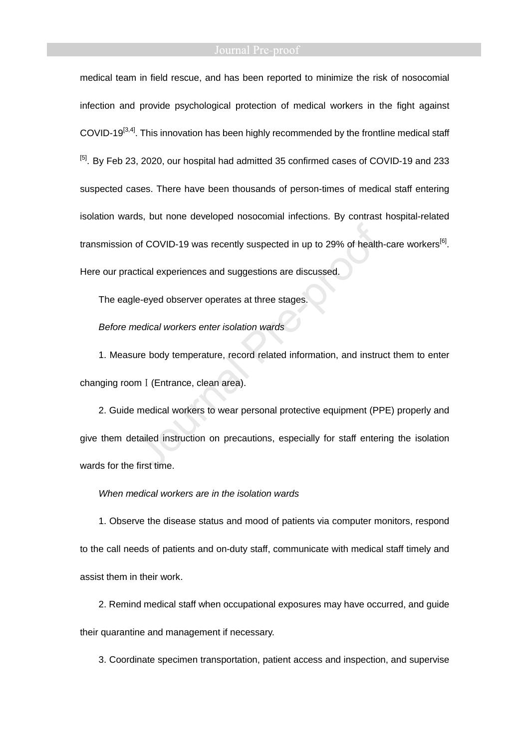medical team in field rescue, and has been reported to minimize the risk of nosocomial infection and provide psychological protection of medical workers in the fight against COVID-19<sup>[3,4]</sup>. This innovation has been highly recommended by the frontline medical staff <sup>[5]</sup>. By Feb 23, 2020, our hospital had admitted 35 confirmed cases of COVID-19 and 233 suspected cases. There have been thousands of person-times of medical staff entering isolation wards, but none developed nosocomial infections. By contrast hospital-related transmission of COVID-19 was recently suspected in up to 29% of health-care workers<sup>[6]</sup>. Here our practical experiences and suggestions are discussed.

The eagle-eyed observer operates at three stages.

Before medical workers enter isolation wards

1. Measure body temperature, record related information, and instruct them to enter changing room I (Entrance, clean area).

2. Guide medical workers to wear personal protective equipment (PPE) properly and give them detailed instruction on precautions, especially for staff entering the isolation wards for the first time.

### When medical workers are in the isolation wards

1. Observe the disease status and mood of patients via computer monitors, respond to the call needs of patients and on-duty staff, communicate with medical staff timely and assist them in their work.

2. Remind medical staff when occupational exposures may have occurred, and guide their quarantine and management if necessary.

3. Coordinate specimen transportation, patient access and inspection, and supervise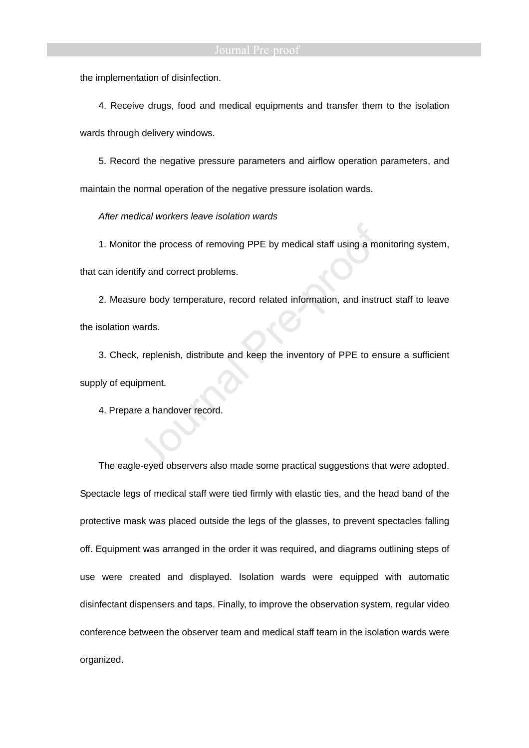the implementation of disinfection.

4. Receive drugs, food and medical equipments and transfer them to the isolation

wards through delivery windows.

5. Record the negative pressure parameters and airflow operation parameters, and maintain the normal operation of the negative pressure isolation wards.

After medical workers leave isolation wards

1. Monitor the process of removing PPE by medical staff using a monitoring system,

that can identify and correct problems.

2. Measure body temperature, record related information, and instruct staff to leave the isolation wards.

3. Check, replenish, distribute and keep the inventory of PPE to ensure a sufficient supply of equipment.

4. Prepare a handover record.

The eagle-eyed observers also made some practical suggestions that were adopted. Spectacle legs of medical staff were tied firmly with elastic ties, and the head band of the protective mask was placed outside the legs of the glasses, to prevent spectacles falling off. Equipment was arranged in the order it was required, and diagrams outlining steps of use were created and displayed. Isolation wards were equipped with automatic disinfectant dispensers and taps. Finally, to improve the observation system, regular video conference between the observer team and medical staff team in the isolation wards were organized.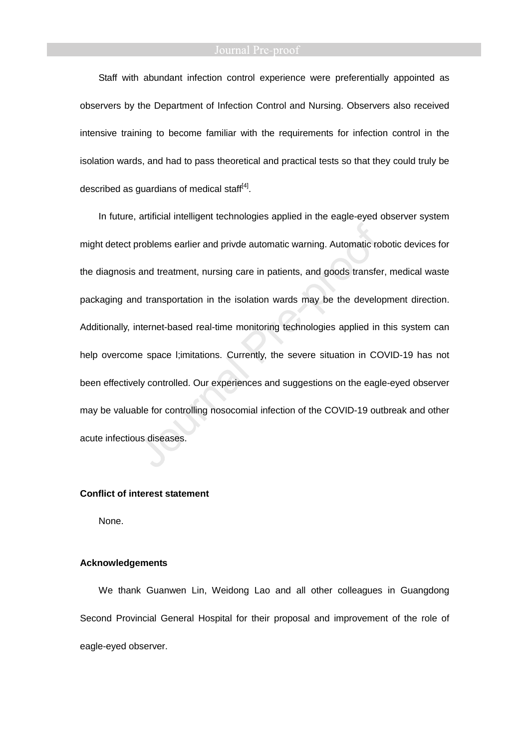Staff with abundant infection control experience were preferentially appointed as observers by the Department of Infection Control and Nursing. Observers also received intensive training to become familiar with the requirements for infection control in the isolation wards, and had to pass theoretical and practical tests so that they could truly be described as guardians of medical staff<sup>[4]</sup>.

In future, artificial intelligent technologies applied in the eagle-eyed observer system might detect problems earlier and privde automatic warning. Automatic robotic devices for the diagnosis and treatment, nursing care in patients, and goods transfer, medical waste packaging and transportation in the isolation wards may be the development direction. Additionally, internet-based real-time monitoring technologies applied in this system can help overcome space l;imitations. Currently, the severe situation in COVID-19 has not been effectively controlled. Our experiences and suggestions on the eagle-eyed observer may be valuable for controlling nosocomial infection of the COVID-19 outbreak and other acute infectious diseases.

### **Conflict of interest statement**

None.

## **Acknowledgements**

We thank Guanwen Lin, Weidong Lao and all other colleagues in Guangdong Second Provincial General Hospital for their proposal and improvement of the role of eagle-eyed observer.